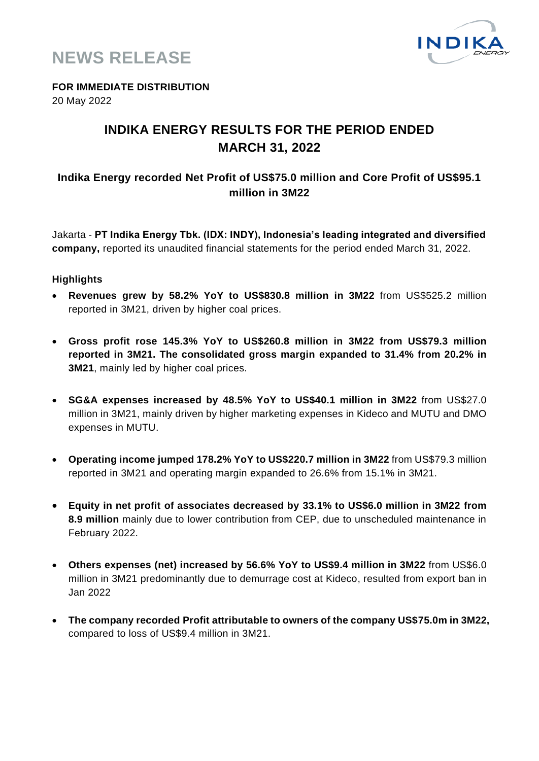



**FOR IMMEDIATE DISTRIBUTION**

20 May 2022

### **INDIKA ENERGY RESULTS FOR THE PERIOD ENDED MARCH 31, 2022**

#### **Indika Energy recorded Net Profit of US\$75.0 million and Core Profit of US\$95.1 million in 3M22**

Jakarta - **PT Indika Energy Tbk. (IDX: INDY), Indonesia's leading integrated and diversified company,** reported its unaudited financial statements for the period ended March 31, 2022.

#### **Highlights**

- **Revenues grew by 58.2% YoY to US\$830.8 million in 3M22** from US\$525.2 million reported in 3M21, driven by higher coal prices.
- **Gross profit rose 145.3% YoY to US\$260.8 million in 3M22 from US\$79.3 million reported in 3M21. The consolidated gross margin expanded to 31.4% from 20.2% in 3M21**, mainly led by higher coal prices.
- **SG&A expenses increased by 48.5% YoY to US\$40.1 million in 3M22** from US\$27.0 million in 3M21, mainly driven by higher marketing expenses in Kideco and MUTU and DMO expenses in MUTU.
- **Operating income jumped 178.2% YoY to US\$220.7 million in 3M22** from US\$79.3 million reported in 3M21 and operating margin expanded to 26.6% from 15.1% in 3M21.
- **Equity in net profit of associates decreased by 33.1% to US\$6.0 million in 3M22 from 8.9 million** mainly due to lower contribution from CEP, due to unscheduled maintenance in February 2022.
- **Others expenses (net) increased by 56.6% YoY to US\$9.4 million in 3M22** from US\$6.0 million in 3M21 predominantly due to demurrage cost at Kideco, resulted from export ban in Jan 2022
- **The company recorded Profit attributable to owners of the company US\$75.0m in 3M22,**  compared to loss of US\$9.4 million in 3M21.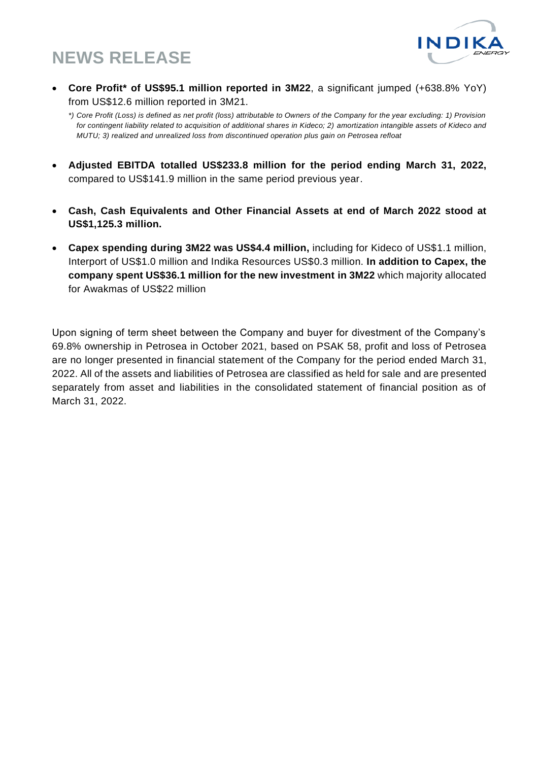

• **Core Profit\* of US\$95.1 million reported in 3M22**, a significant jumped (+638.8% YoY) from US\$12.6 million reported in 3M21.

- **Adjusted EBITDA totalled US\$233.8 million for the period ending March 31, 2022,**  compared to US\$141.9 million in the same period previous year.
- **Cash, Cash Equivalents and Other Financial Assets at end of March 2022 stood at US\$1,125.3 million.**
- **Capex spending during 3M22 was US\$4.4 million,** including for Kideco of US\$1.1 million, Interport of US\$1.0 million and Indika Resources US\$0.3 million. **In addition to Capex, the company spent US\$36.1 million for the new investment in 3M22** which majority allocated for Awakmas of US\$22 million

Upon signing of term sheet between the Company and buyer for divestment of the Company's 69.8% ownership in Petrosea in October 2021, based on PSAK 58, profit and loss of Petrosea are no longer presented in financial statement of the Company for the period ended March 31, 2022. All of the assets and liabilities of Petrosea are classified as held for sale and are presented separately from asset and liabilities in the consolidated statement of financial position as of March 31, 2022.

*<sup>\*)</sup> Core Profit (Loss) is defined as net profit (loss) attributable to Owners of the Company for the year excluding: 1) Provision for contingent liability related to acquisition of additional shares in Kideco; 2) amortization intangible assets of Kideco and MUTU; 3) realized and unrealized loss from discontinued operation plus gain on Petrosea refloat*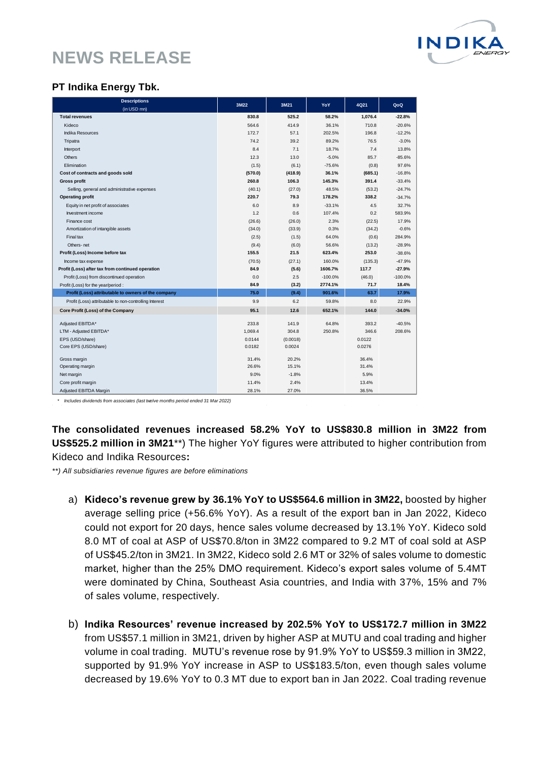

#### **PT Indika Energy Tbk.**

| <b>Descriptions</b>                                                                                           | 3M22             | 3M21             | YoY                  | 4Q21             | QoQ                  |
|---------------------------------------------------------------------------------------------------------------|------------------|------------------|----------------------|------------------|----------------------|
| (in USD mn)<br><b>Total revenues</b>                                                                          |                  | 525.2            |                      |                  |                      |
| Kideco                                                                                                        | 830.8<br>564.6   | 414.9            | 58.2%<br>36.1%       | 1,076.4<br>710.8 | $-22.8%$<br>$-20.6%$ |
| <b>Indika Resources</b>                                                                                       | 172.7            | 57.1             | 202.5%               | 196.8            | $-12.2%$             |
|                                                                                                               | 74.2             | 39.2             |                      | 76.5             |                      |
| Tripatra                                                                                                      | 8.4              | 7.1              | 89.2%<br>18.7%       | 7.4              | $-3.0%$<br>13.8%     |
| Interport<br><b>Others</b>                                                                                    | 12.3             | 13.0             | $-5.0%$              | 85.7             | $-85.6%$             |
|                                                                                                               |                  |                  | $-75.6%$             |                  | 97.6%                |
| Elimination<br>Cost of contracts and goods sold                                                               | (1.5)<br>(570.0) | (6.1)<br>(418.9) | 36.1%                | (0.8)<br>(685.1) | $-16.8%$             |
| <b>Gross profit</b>                                                                                           | 260.8            | 106.3            | 145.3%               | 391.4            |                      |
|                                                                                                               |                  |                  |                      |                  | $-33.4%$             |
| Selling, general and administrative expenses                                                                  | (40.1)<br>220.7  | (27.0)<br>79.3   | 48.5%                | (53.2)           | $-24.7%$             |
| <b>Operating profit</b>                                                                                       |                  |                  | 178.2%               | 338.2            | $-34.7%$             |
| Equity in net profit of associates                                                                            | 6.0              | 8.9              | $-33.1%$             | 4.5              | 32.7%                |
| Investment income                                                                                             | 1.2              | 0.6              | 107.4%<br>2.3%       | 0.2              | 583.9%<br>17.9%      |
| Finance cost                                                                                                  | (26.6)           | (26.0)           |                      | (22.5)           |                      |
| Amortization of intangible assets                                                                             | (34.0)           | (33.9)           | 0.3%                 | (34.2)           | $-0.6%$              |
| Final tax                                                                                                     | (2.5)            | (1.5)            | 64.0%                | (0.6)            | 284.9%               |
| Others-net                                                                                                    | (9.4)<br>155.5   | (6.0)<br>21.5    | 56.6%                | (13.2)<br>253.0  | $-28.9%$             |
| Profit (Loss) Income before tax                                                                               |                  |                  | 623.4%               |                  | $-38.6%$             |
| Income tax expense                                                                                            | (70.5)<br>84.9   | (27.1)           | 160.0%               | (135.3)<br>117.7 | $-47.9%$<br>$-27.9%$ |
| Profit (Loss) after tax from continued operation                                                              |                  | (5.6)            | 1606.7%              |                  |                      |
| Profit (Loss) from discontinued operation                                                                     | 0.0<br>84.9      | 2.5              | $-100.0%$<br>2774.1% | (46.0)<br>71.7   | $-100.0%$<br>18.4%   |
| Profit (Loss) for the year/period :                                                                           | 75.0             | (3.2)<br>(9.4)   | 901.6%               | 63.7             | 17.9%                |
| Profit (Loss) attributable to owners of the company<br>Profit (Loss) attributable to non-controlling Interest | 9.9              | 6.2              | 59.8%                | 8.0              | 22.9%                |
| Core Profit (Loss) of the Company                                                                             | 95.1             | 12.6             | 652.1%               | 144.0            | $-34.0%$             |
|                                                                                                               |                  |                  |                      |                  |                      |
| Adjusted EBITDA*                                                                                              | 233.8            | 141.9            | 64.8%                | 393.2            | $-40.5%$             |
| LTM - Adjusted EBITDA*                                                                                        | 1.069.4          | 304.8            | 250.8%               | 346.6            | 208.6%               |
| EPS (USD/share)                                                                                               | 0.0144           | (0.0018)         |                      | 0.0122           |                      |
| Core EPS (USD/share)                                                                                          | 0.0182           | 0.0024           |                      | 0.0276           |                      |
| Gross margin                                                                                                  | 31.4%            | 20.2%            |                      | 36.4%            |                      |
| Operating margin                                                                                              | 26.6%            | 15.1%            |                      | 31.4%            |                      |
| Net margin                                                                                                    | 9.0%             | $-1.8%$          |                      | 5.9%             |                      |
| Core profit margin                                                                                            | 11.4%            | 2.4%             |                      | 13.4%            |                      |
| Adjusted EBITDA Margin                                                                                        | 28.1%            | 27.0%            |                      | 36.5%            |                      |

\* *Includes dividends from associates (last twelve months period ended 31 Mar 2022)*

**The consolidated revenues increased 58.2% YoY to US\$830.8 million in 3M22 from US\$525.2 million in 3M21**\*\*) The higher YoY figures were attributed to higher contribution from Kideco and Indika Resources**:**

*\*\*) All subsidiaries revenue figures are before eliminations*

- a) **Kideco's revenue grew by 36.1% YoY to US\$564.6 million in 3M22,** boosted by higher average selling price (+56.6% YoY). As a result of the export ban in Jan 2022, Kideco could not export for 20 days, hence sales volume decreased by 13.1% YoY. Kideco sold 8.0 MT of coal at ASP of US\$70.8/ton in 3M22 compared to 9.2 MT of coal sold at ASP of US\$45.2/ton in 3M21. In 3M22, Kideco sold 2.6 MT or 32% of sales volume to domestic market, higher than the 25% DMO requirement. Kideco's export sales volume of 5.4MT were dominated by China, Southeast Asia countries, and India with 37%, 15% and 7% of sales volume, respectively.
- b) **Indika Resources' revenue increased by 202.5% YoY to US\$172.7 million in 3M22** from US\$57.1 million in 3M21, driven by higher ASP at MUTU and coal trading and higher volume in coal trading. MUTU's revenue rose by 91.9% YoY to US\$59.3 million in 3M22, supported by 91.9% YoY increase in ASP to US\$183.5/ton, even though sales volume decreased by 19.6% YoY to 0.3 MT due to export ban in Jan 2022. Coal trading revenue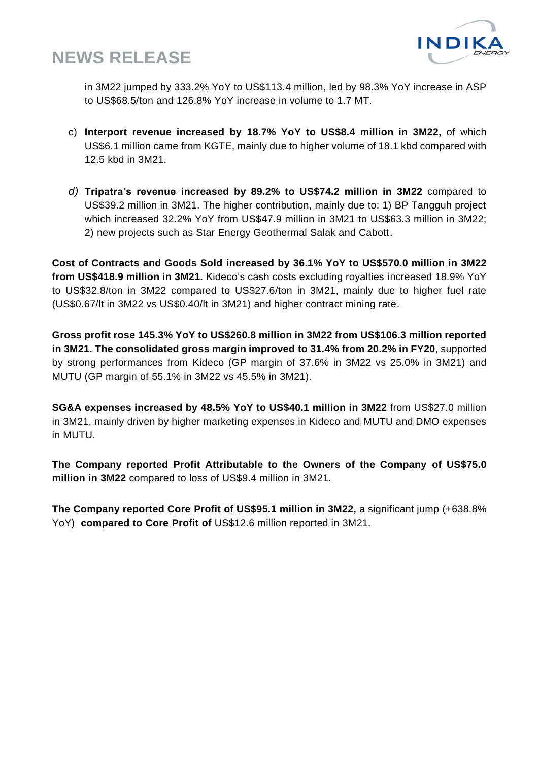

in 3M22 jumped by 333.2% YoY to US\$113.4 million, led by 98.3% YoY increase in ASP to US\$68.5/ton and 126.8% YoY increase in volume to 1.7 MT.

- c) **Interport revenue increased by 18.7% YoY to US\$8.4 million in 3M22,** of which US\$6.1 million came from KGTE, mainly due to higher volume of 18.1 kbd compared with 12.5 kbd in 3M21.
- *d)* **Tripatra's revenue increased by 89.2% to US\$74.2 million in 3M22** compared to US\$39.2 million in 3M21. The higher contribution, mainly due to: 1) BP Tangguh project which increased 32.2% YoY from US\$47.9 million in 3M21 to US\$63.3 million in 3M22; 2) new projects such as Star Energy Geothermal Salak and Cabott.

**Cost of Contracts and Goods Sold increased by 36.1% YoY to US\$570.0 million in 3M22 from US\$418.9 million in 3M21.** Kideco's cash costs excluding royalties increased 18.9% YoY to US\$32.8/ton in 3M22 compared to US\$27.6/ton in 3M21, mainly due to higher fuel rate (US\$0.67/lt in 3M22 vs US\$0.40/lt in 3M21) and higher contract mining rate.

**Gross profit rose 145.3% YoY to US\$260.8 million in 3M22 from US\$106.3 million reported in 3M21. The consolidated gross margin improved to 31.4% from 20.2% in FY20**, supported by strong performances from Kideco (GP margin of 37.6% in 3M22 vs 25.0% in 3M21) and MUTU (GP margin of 55.1% in 3M22 vs 45.5% in 3M21).

**SG&A expenses increased by 48.5% YoY to US\$40.1 million in 3M22** from US\$27.0 million in 3M21, mainly driven by higher marketing expenses in Kideco and MUTU and DMO expenses in MUTU.

**The Company reported Profit Attributable to the Owners of the Company of US\$75.0 million in 3M22** compared to loss of US\$9.4 million in 3M21.

**The Company reported Core Profit of US\$95.1 million in 3M22,** a significant jump (+638.8% YoY) **compared to Core Profit of** US\$12.6 million reported in 3M21.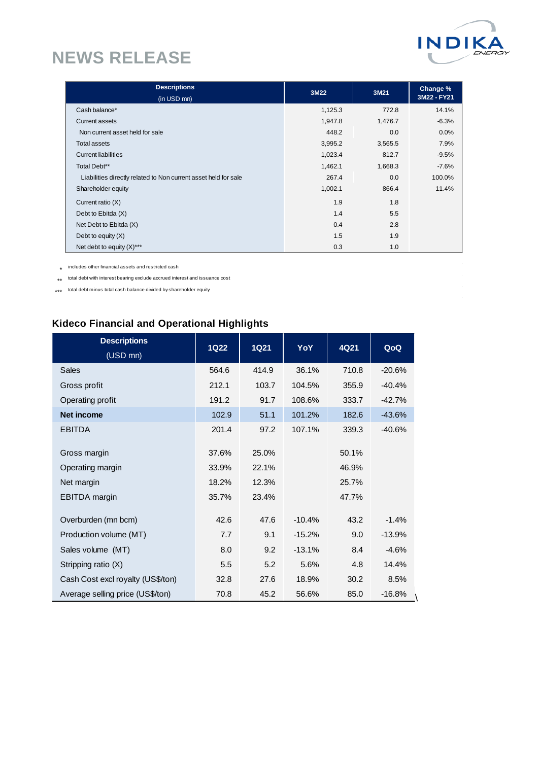

| <b>Descriptions</b>                                             | 3M22    | 3M21    | Change %    |
|-----------------------------------------------------------------|---------|---------|-------------|
| (in USD mn)                                                     |         |         | 3M22 - FY21 |
| Cash balance*                                                   | 1,125.3 | 772.8   | 14.1%       |
| Current assets                                                  | 1,947.8 | 1,476.7 | $-6.3%$     |
| Non current asset held for sale                                 | 448.2   | 0.0     | $0.0\%$     |
| <b>Total assets</b>                                             | 3,995.2 | 3,565.5 | 7.9%        |
| <b>Current liabilities</b>                                      | 1,023.4 | 812.7   | $-9.5%$     |
| Total Debt**                                                    | 1,462.1 | 1,668.3 | $-7.6%$     |
| Liabilities directly related to Non current asset held for sale | 267.4   | 0.0     | 100.0%      |
| Shareholder equity                                              | 1,002.1 | 866.4   | 11.4%       |
| Current ratio (X)                                               | 1.9     | 1.8     |             |
| Debt to Ebitda (X)                                              | 1.4     | 5.5     |             |
| Net Debt to Ebitda (X)                                          | 0.4     | 2.8     |             |
| Debt to equity $(X)$                                            | 1.5     | 1.9     |             |
| Net debt to equity $(X)$ ***                                    | 0.3     | 1.0     |             |

 $\mathcal{L}_{\mathrm{max}}$ 

 $\label{eq:2.1} \frac{1}{\sqrt{2}}\int_{\mathbb{R}^3}\frac{1}{\sqrt{2}}\left(\frac{1}{\sqrt{2}}\right)^2\left(\frac{1}{\sqrt{2}}\right)^2\left(\frac{1}{\sqrt{2}}\right)^2\left(\frac{1}{\sqrt{2}}\right)^2\left(\frac{1}{\sqrt{2}}\right)^2.$ 

 $\sim 10$ 

\* includes other financial assets and restricted cash

 $\;\star\star\;$  total debt with interest bearing exclude accrued interest and issuance cost

\*\*\* total debt minus total cash balance divided by shareholder equity

### **Kideco Financial and Operational Highlights**

| <b>Descriptions</b><br>(USD mn)                                        | <b>1Q22</b>                      | <b>1Q21</b>                      | YoY      | 4Q21                             | QoQ      |
|------------------------------------------------------------------------|----------------------------------|----------------------------------|----------|----------------------------------|----------|
| <b>Sales</b>                                                           | 564.6                            | 414.9                            | 36.1%    | 710.8                            | $-20.6%$ |
| Gross profit                                                           | 212.1                            | 103.7                            | 104.5%   | 355.9                            | $-40.4%$ |
| Operating profit                                                       | 191.2                            | 91.7                             | 108.6%   | 333.7                            | $-42.7%$ |
| <b>Net income</b>                                                      | 102.9                            | 51.1                             | 101.2%   | 182.6                            | $-43.6%$ |
| <b>EBITDA</b>                                                          | 201.4                            | 97.2                             | 107.1%   | 339.3                            | $-40.6%$ |
| Gross margin<br>Operating margin<br>Net margin<br><b>EBITDA</b> margin | 37.6%<br>33.9%<br>18.2%<br>35.7% | 25.0%<br>22.1%<br>12.3%<br>23.4% |          | 50.1%<br>46.9%<br>25.7%<br>47.7% |          |
| Overburden (mn bcm)                                                    | 42.6                             | 47.6                             | $-10.4%$ | 43.2                             | $-1.4%$  |
| Production volume (MT)                                                 | 7.7                              | 9.1                              | $-15.2%$ | 9.0                              | $-13.9%$ |
| Sales volume (MT)                                                      | 8.0                              | 9.2                              | $-13.1%$ | 8.4                              | $-4.6%$  |
| Stripping ratio (X)                                                    | 5.5                              | 5.2                              | 5.6%     | 4.8                              | 14.4%    |
| Cash Cost excl royalty (US\$/ton)                                      | 32.8                             | 27.6                             | 18.9%    | 30.2                             | 8.5%     |
| Average selling price (US\$/ton)                                       | 70.8                             | 45.2                             | 56.6%    | 85.0                             | $-16.8%$ |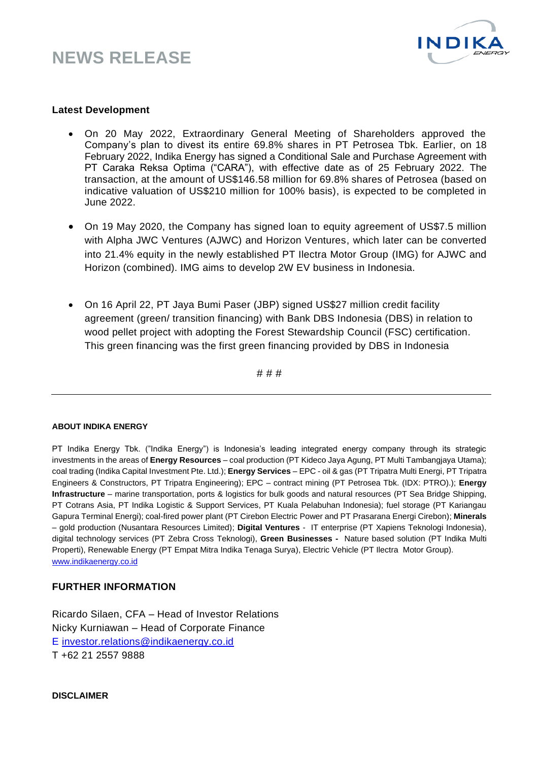

#### **Latest Development**

- On 20 May 2022, Extraordinary General Meeting of Shareholders approved the Company's plan to divest its entire 69.8% shares in PT Petrosea Tbk. Earlier, on 18 February 2022, Indika Energy has signed a Conditional Sale and Purchase Agreement with PT Caraka Reksa Optima ("CARA"), with effective date as of 25 February 2022. The transaction, at the amount of US\$146.58 million for 69.8% shares of Petrosea (based on indicative valuation of US\$210 million for 100% basis), is expected to be completed in June 2022.
- On 19 May 2020, the Company has signed loan to equity agreement of US\$7.5 million with Alpha JWC Ventures (AJWC) and Horizon Ventures, which later can be converted into 21.4% equity in the newly established PT Ilectra Motor Group (IMG) for AJWC and Horizon (combined). IMG aims to develop 2W EV business in Indonesia.
- On 16 April 22, PT Jaya Bumi Paser (JBP) signed US\$27 million credit facility agreement (green/ transition financing) with Bank DBS Indonesia (DBS) in relation to wood pellet project with adopting the Forest Stewardship Council (FSC) certification. This green financing was the first green financing provided by DBS in Indonesia

# # #

#### **ABOUT INDIKA ENERGY**

PT Indika Energy Tbk. ("Indika Energy") is Indonesia's leading integrated energy company through its strategic investments in the areas of **Energy Resources** – coal production (PT Kideco Jaya Agung, PT Multi Tambangjaya Utama); coal trading (Indika Capital Investment Pte. Ltd.); **Energy Services** – EPC - oil & gas (PT Tripatra Multi Energi, PT Tripatra Engineers & Constructors, PT Tripatra Engineering); EPC – contract mining (PT Petrosea Tbk. (IDX: PTRO).); **Energy Infrastructure** – marine transportation, ports & logistics for bulk goods and natural resources (PT Sea Bridge Shipping, PT Cotrans Asia, PT Indika Logistic & Support Services, PT Kuala Pelabuhan Indonesia); fuel storage (PT Kariangau Gapura Terminal Energi); coal-fired power plant (PT Cirebon Electric Power and PT Prasarana Energi Cirebon); **Minerals** – gold production (Nusantara Resources Limited); **Digital Ventures** - IT enterprise (PT Xapiens Teknologi Indonesia), digital technology services (PT Zebra Cross Teknologi), **Green Businesses -** Nature based solution (PT Indika Multi Properti), Renewable Energy (PT Empat Mitra Indika Tenaga Surya), Electric Vehicle (PT Ilectra Motor Group). [www.indikaenergy.co.id](http://www.indikaenergy.co.id/)

#### **FURTHER INFORMATION**

Ricardo Silaen, CFA – Head of Investor Relations Nicky Kurniawan – Head of Corporate Finance E [investor.relations@indikaenergy.co.id](mailto:Investor.Relations@indikaenergy.co.id) T +62 21 2557 9888